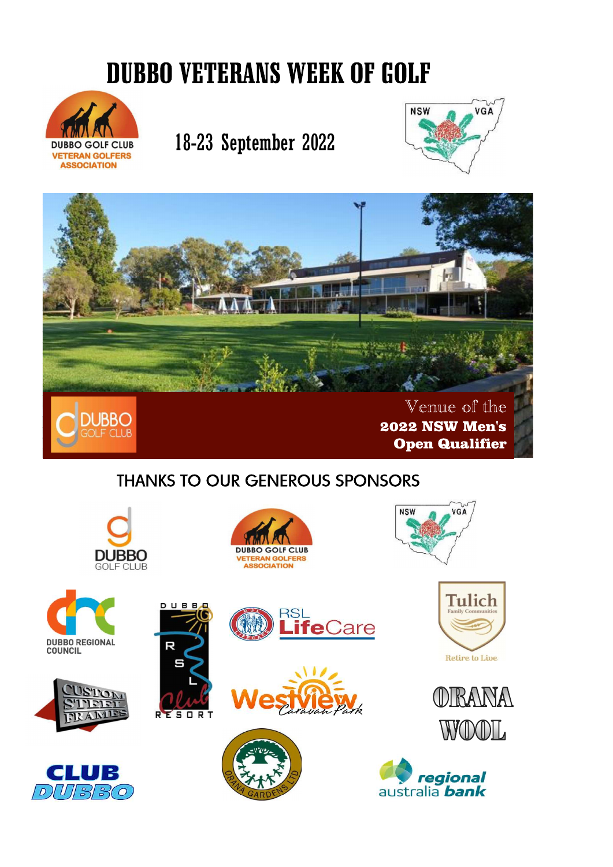## **DUBBO VETERANS WEEK OF GOLF**



## 18-23 September 2022





## **THANKS TO OUR GENEROUS SPONSORS**